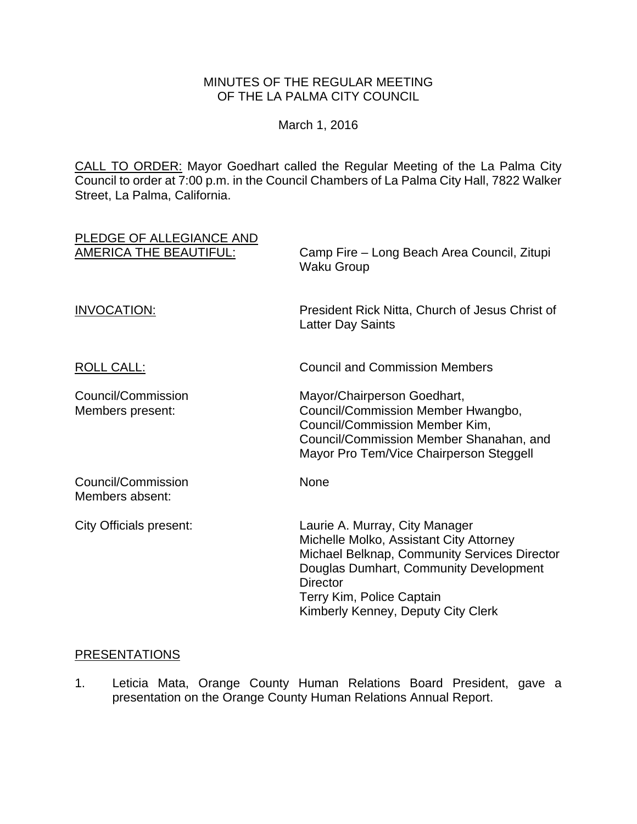## MINUTES OF THE REGULAR MEETING OF THE LA PALMA CITY COUNCIL

March 1, 2016

CALL TO ORDER: Mayor Goedhart called the Regular Meeting of the La Palma City Council to order at 7:00 p.m. in the Council Chambers of La Palma City Hall, 7822 Walker Street, La Palma, California.

| PLEDGE OF ALLEGIANCE AND<br><b>AMERICA THE BEAUTIFUL:</b> | Camp Fire - Long Beach Area Council, Zitupi<br><b>Waku Group</b>                                                                                                                                                                                          |
|-----------------------------------------------------------|-----------------------------------------------------------------------------------------------------------------------------------------------------------------------------------------------------------------------------------------------------------|
| <b>INVOCATION:</b>                                        | President Rick Nitta, Church of Jesus Christ of<br><b>Latter Day Saints</b>                                                                                                                                                                               |
| <b>ROLL CALL:</b>                                         | <b>Council and Commission Members</b>                                                                                                                                                                                                                     |
| Council/Commission<br>Members present:                    | Mayor/Chairperson Goedhart,<br>Council/Commission Member Hwangbo,<br>Council/Commission Member Kim,<br>Council/Commission Member Shanahan, and<br>Mayor Pro Tem/Vice Chairperson Steggell                                                                 |
| Council/Commission<br>Members absent:                     | None                                                                                                                                                                                                                                                      |
| City Officials present:                                   | Laurie A. Murray, City Manager<br>Michelle Molko, Assistant City Attorney<br>Michael Belknap, Community Services Director<br>Douglas Dumhart, Community Development<br><b>Director</b><br>Terry Kim, Police Captain<br>Kimberly Kenney, Deputy City Clerk |

#### PRESENTATIONS

1. Leticia Mata, Orange County Human Relations Board President, gave a presentation on the Orange County Human Relations Annual Report.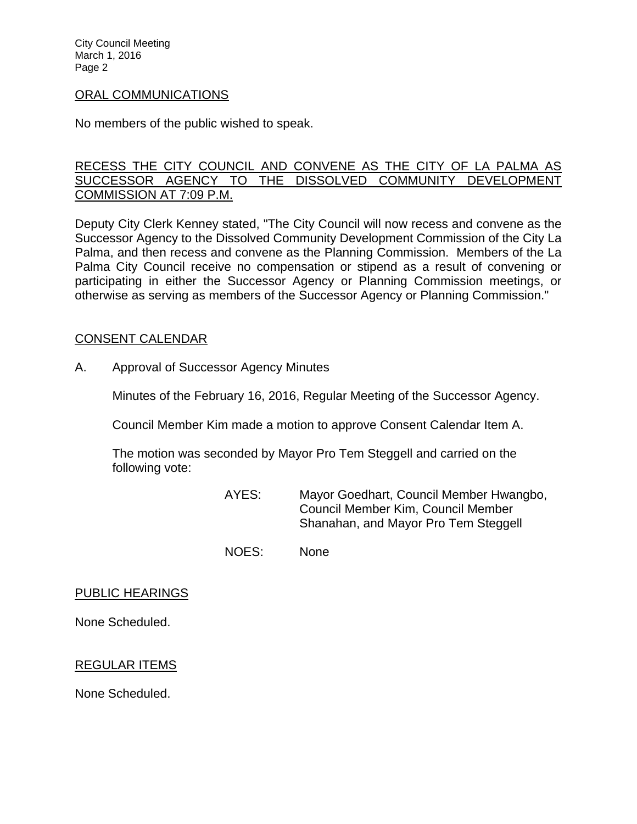City Council Meeting March 1, 2016 Page 2

#### ORAL COMMUNICATIONS

No members of the public wished to speak.

## RECESS THE CITY COUNCIL AND CONVENE AS THE CITY OF LA PALMA AS SUCCESSOR AGENCY TO THE DISSOLVED COMMUNITY DEVELOPMENT COMMISSION AT 7:09 P.M.

Deputy City Clerk Kenney stated, "The City Council will now recess and convene as the Successor Agency to the Dissolved Community Development Commission of the City La Palma, and then recess and convene as the Planning Commission. Members of the La Palma City Council receive no compensation or stipend as a result of convening or participating in either the Successor Agency or Planning Commission meetings, or otherwise as serving as members of the Successor Agency or Planning Commission."

#### CONSENT CALENDAR

A. Approval of Successor Agency Minutes

Minutes of the February 16, 2016, Regular Meeting of the Successor Agency.

Council Member Kim made a motion to approve Consent Calendar Item A.

The motion was seconded by Mayor Pro Tem Steggell and carried on the following vote:

> AYES: Mayor Goedhart, Council Member Hwangbo, Council Member Kim, Council Member Shanahan, and Mayor Pro Tem Steggell

NOES: None

#### PUBLIC HEARINGS

None Scheduled.

## REGULAR ITEMS

None Scheduled.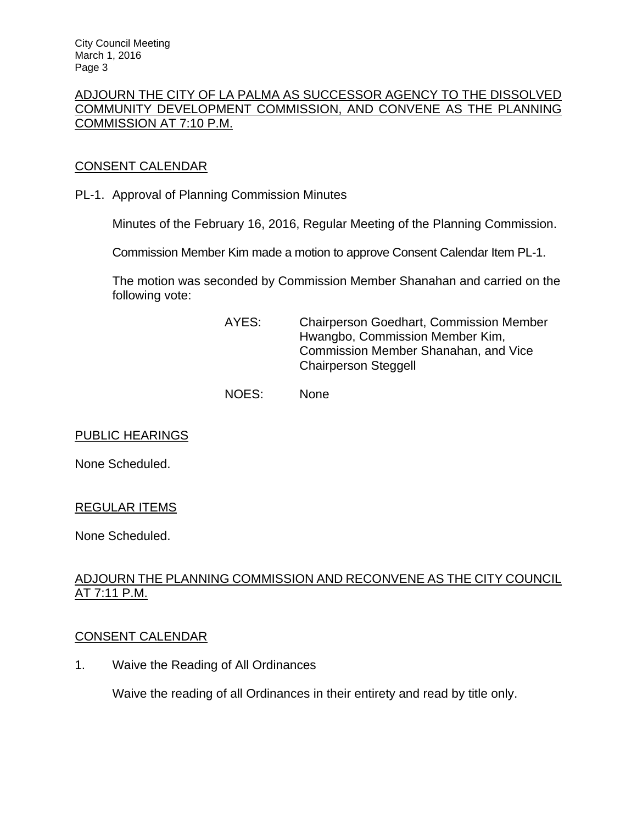## ADJOURN THE CITY OF LA PALMA AS SUCCESSOR AGENCY TO THE DISSOLVED COMMUNITY DEVELOPMENT COMMISSION, AND CONVENE AS THE PLANNING COMMISSION AT 7:10 P.M.

# CONSENT CALENDAR

PL-1. Approval of Planning Commission Minutes

Minutes of the February 16, 2016, Regular Meeting of the Planning Commission.

Commission Member Kim made a motion to approve Consent Calendar Item PL-1.

The motion was seconded by Commission Member Shanahan and carried on the following vote:

- AYES: Chairperson Goedhart, Commission Member Hwangbo, Commission Member Kim, Commission Member Shanahan, and Vice Chairperson Steggell
- NOES: None

## PUBLIC HEARINGS

None Scheduled.

## REGULAR ITEMS

None Scheduled.

# ADJOURN THE PLANNING COMMISSION AND RECONVENE AS THE CITY COUNCIL AT 7:11 P.M.

#### CONSENT CALENDAR

1. Waive the Reading of All Ordinances

Waive the reading of all Ordinances in their entirety and read by title only.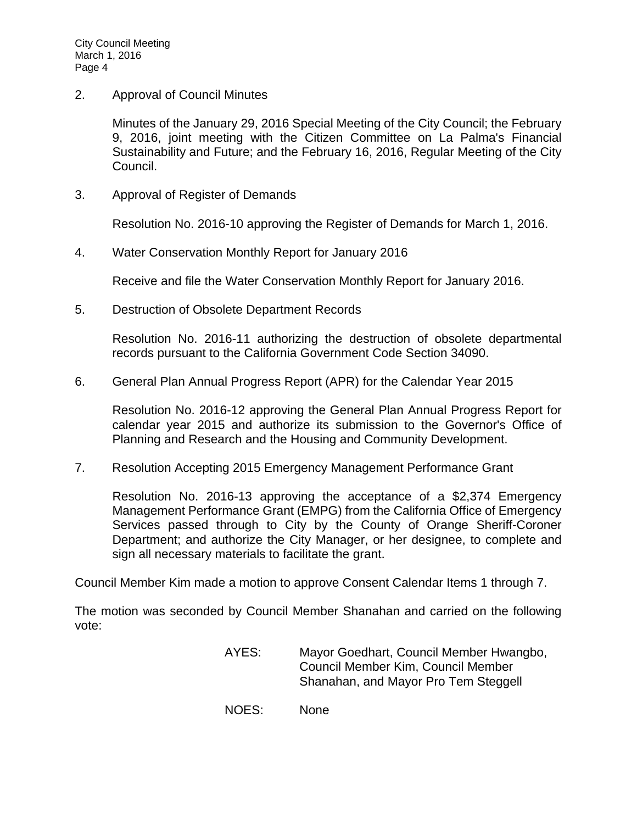2. Approval of Council Minutes

Minutes of the January 29, 2016 Special Meeting of the City Council; the February 9, 2016, joint meeting with the Citizen Committee on La Palma's Financial Sustainability and Future; and the February 16, 2016, Regular Meeting of the City Council.

3. Approval of Register of Demands

Resolution No. 2016-10 approving the Register of Demands for March 1, 2016.

4. Water Conservation Monthly Report for January 2016

Receive and file the Water Conservation Monthly Report for January 2016.

5. Destruction of Obsolete Department Records

Resolution No. 2016-11 authorizing the destruction of obsolete departmental records pursuant to the California Government Code Section 34090.

6. General Plan Annual Progress Report (APR) for the Calendar Year 2015

Resolution No. 2016-12 approving the General Plan Annual Progress Report for calendar year 2015 and authorize its submission to the Governor's Office of Planning and Research and the Housing and Community Development.

7. Resolution Accepting 2015 Emergency Management Performance Grant

Resolution No. 2016-13 approving the acceptance of a \$2,374 Emergency Management Performance Grant (EMPG) from the California Office of Emergency Services passed through to City by the County of Orange Sheriff-Coroner Department; and authorize the City Manager, or her designee, to complete and sign all necessary materials to facilitate the grant.

Council Member Kim made a motion to approve Consent Calendar Items 1 through 7.

The motion was seconded by Council Member Shanahan and carried on the following vote:

- AYES: Mayor Goedhart, Council Member Hwangbo, Council Member Kim, Council Member Shanahan, and Mayor Pro Tem Steggell
- NOES: None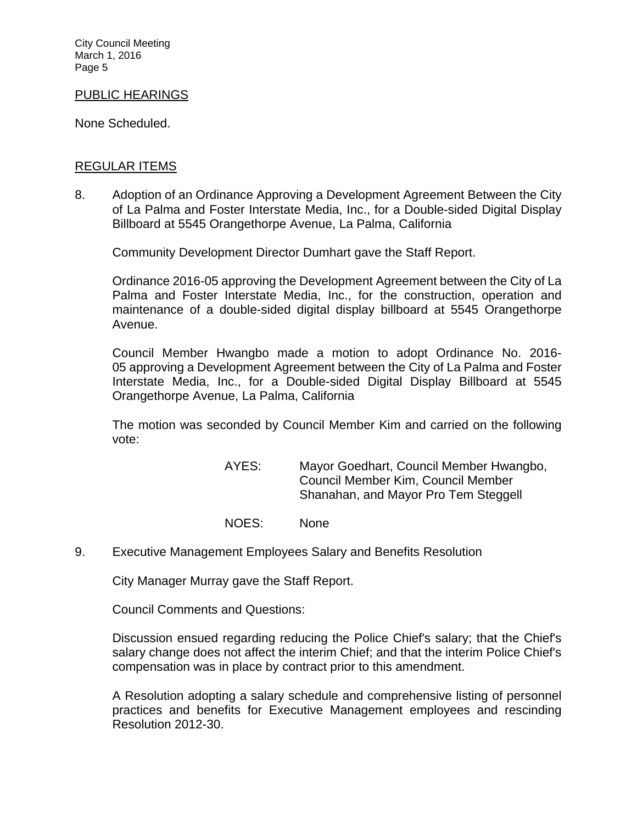City Council Meeting March 1, 2016 Page 5

#### PUBLIC HEARINGS

None Scheduled.

#### REGULAR ITEMS

8. Adoption of an Ordinance Approving a Development Agreement Between the City of La Palma and Foster Interstate Media, Inc., for a Double-sided Digital Display Billboard at 5545 Orangethorpe Avenue, La Palma, California

Community Development Director Dumhart gave the Staff Report.

Ordinance 2016-05 approving the Development Agreement between the City of La Palma and Foster Interstate Media, Inc., for the construction, operation and maintenance of a double-sided digital display billboard at 5545 Orangethorpe Avenue.

Council Member Hwangbo made a motion to adopt Ordinance No. 2016- 05 approving a Development Agreement between the City of La Palma and Foster Interstate Media, Inc., for a Double-sided Digital Display Billboard at 5545 Orangethorpe Avenue, La Palma, California

The motion was seconded by Council Member Kim and carried on the following vote:

> AYES: Mayor Goedhart, Council Member Hwangbo, Council Member Kim, Council Member Shanahan, and Mayor Pro Tem Steggell

- NOES: None
- 9. Executive Management Employees Salary and Benefits Resolution

City Manager Murray gave the Staff Report.

Council Comments and Questions:

Discussion ensued regarding reducing the Police Chief's salary; that the Chief's salary change does not affect the interim Chief; and that the interim Police Chief's compensation was in place by contract prior to this amendment.

A Resolution adopting a salary schedule and comprehensive listing of personnel practices and benefits for Executive Management employees and rescinding Resolution 2012-30.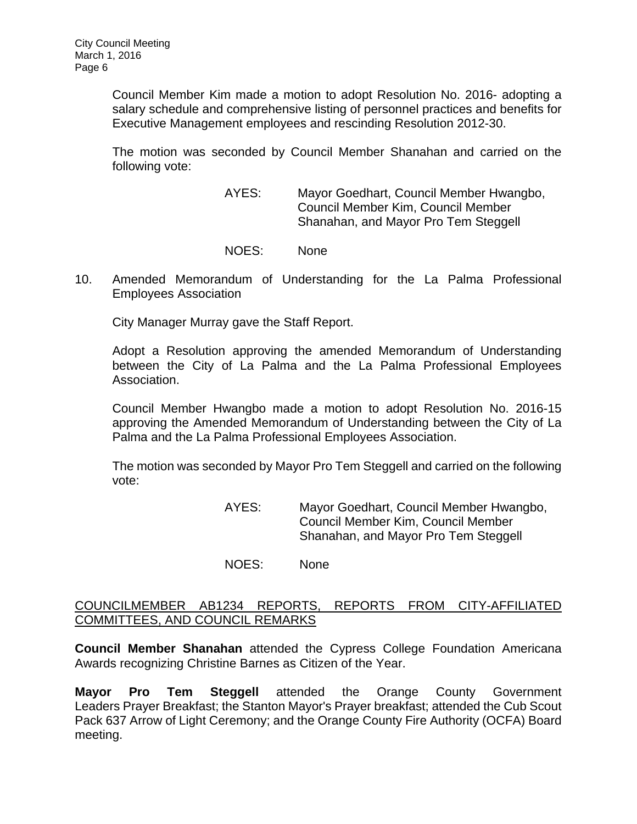Council Member Kim made a motion to adopt Resolution No. 2016- adopting a salary schedule and comprehensive listing of personnel practices and benefits for Executive Management employees and rescinding Resolution 2012-30.

The motion was seconded by Council Member Shanahan and carried on the following vote:

> AYES: Mayor Goedhart, Council Member Hwangbo, Council Member Kim, Council Member Shanahan, and Mayor Pro Tem Steggell

- NOES: None
- 10. Amended Memorandum of Understanding for the La Palma Professional Employees Association

City Manager Murray gave the Staff Report.

Adopt a Resolution approving the amended Memorandum of Understanding between the City of La Palma and the La Palma Professional Employees Association.

Council Member Hwangbo made a motion to adopt Resolution No. 2016-15 approving the Amended Memorandum of Understanding between the City of La Palma and the La Palma Professional Employees Association.

The motion was seconded by Mayor Pro Tem Steggell and carried on the following vote:

> AYES: Mayor Goedhart, Council Member Hwangbo, Council Member Kim, Council Member Shanahan, and Mayor Pro Tem Steggell

NOES: None

## COUNCILMEMBER AB1234 REPORTS, REPORTS FROM CITY-AFFILIATED COMMITTEES, AND COUNCIL REMARKS

**Council Member Shanahan** attended the Cypress College Foundation Americana Awards recognizing Christine Barnes as Citizen of the Year.

**Mayor Pro Tem Steggell** attended the Orange County Government Leaders Prayer Breakfast; the Stanton Mayor's Prayer breakfast; attended the Cub Scout Pack 637 Arrow of Light Ceremony; and the Orange County Fire Authority (OCFA) Board meeting.